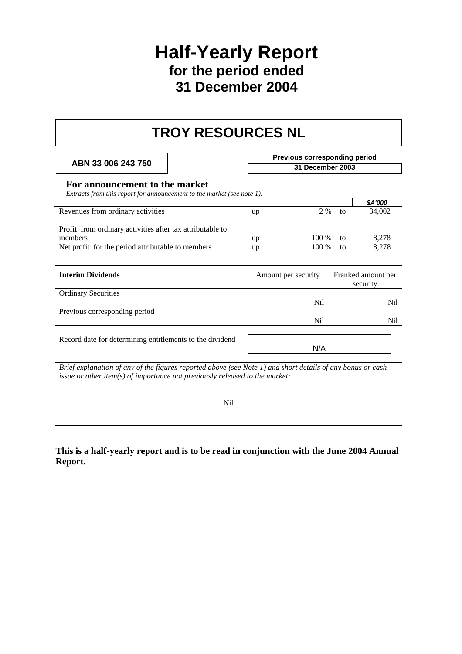## **Half-Yearly Report for the period ended 31 December 2004**

## **TROY RESOURCES NL**

**Previous corresponding period**<br> **Previous corresponding period**<br>
31 December 2003

#### **For announcement to the market**

*Extracts from this report for announcement to the market (see note 1).* 

|                                                                                                                                                                                               |                            |                                | \$A'000        |
|-----------------------------------------------------------------------------------------------------------------------------------------------------------------------------------------------|----------------------------|--------------------------------|----------------|
| Revenues from ordinary activities                                                                                                                                                             | 2 %<br>up                  | to                             | 34,002         |
| Profit from ordinary activities after tax attributable to<br>members<br>Net profit for the period attributable to members                                                                     | 100 %<br>up<br>100 %<br>up | to<br>to                       | 8,278<br>8,278 |
| <b>Interim Dividends</b>                                                                                                                                                                      | Amount per security        | Franked amount per<br>security |                |
| <b>Ordinary Securities</b>                                                                                                                                                                    |                            |                                |                |
|                                                                                                                                                                                               | Nil                        |                                | Nil            |
| Previous corresponding period                                                                                                                                                                 |                            |                                |                |
|                                                                                                                                                                                               | N <sub>i</sub>             |                                | Nil            |
|                                                                                                                                                                                               |                            |                                |                |
| Record date for determining entitlements to the dividend                                                                                                                                      | N/A                        |                                |                |
|                                                                                                                                                                                               |                            |                                |                |
| Brief explanation of any of the figures reported above (see Note 1) and short details of any bonus or cash<br>issue or other item( $s$ ) of importance not previously released to the market: |                            |                                |                |

Nil

**This is a half-yearly report and is to be read in conjunction with the June 2004 Annual Report.**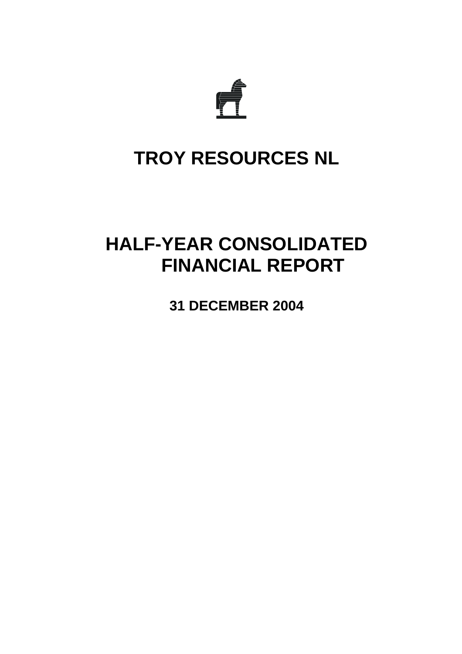

# **TROY RESOURCES NL**

# **HALF-YEAR CONSOLIDATED FINANCIAL REPORT**

**31 DECEMBER 2004**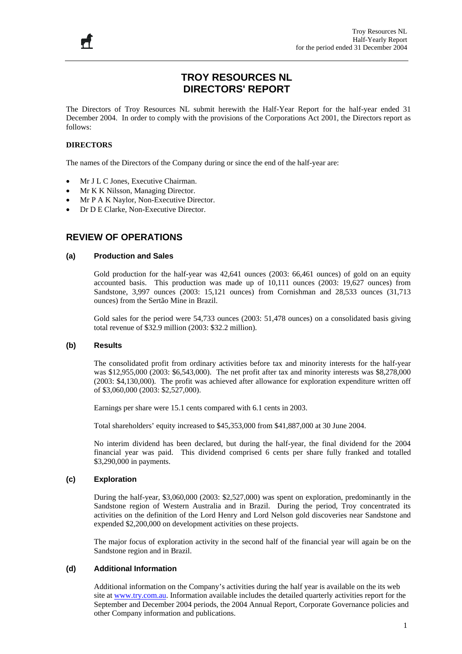## **TROY RESOURCES NL DIRECTORS' REPORT**

The Directors of Troy Resources NL submit herewith the Half-Year Report for the half-year ended 31 December 2004. In order to comply with the provisions of the Corporations Act 2001, the Directors report as follows:

#### **DIRECTORS**

Ħ

The names of the Directors of the Company during or since the end of the half-year are:

- Mr J L C Jones, Executive Chairman.
- Mr K K Nilsson, Managing Director.
- Mr P A K Naylor, Non-Executive Director.
- Dr D E Clarke, Non-Executive Director.

#### **REVIEW OF OPERATIONS**

#### **(a) Production and Sales**

Gold production for the half-year was 42,641 ounces (2003: 66,461 ounces) of gold on an equity accounted basis. This production was made up of 10,111 ounces (2003: 19,627 ounces) from Sandstone, 3,997 ounces (2003: 15,121 ounces) from Cornishman and 28,533 ounces (31,713 ounces) from the Sertão Mine in Brazil.

Gold sales for the period were 54,733 ounces (2003: 51,478 ounces) on a consolidated basis giving total revenue of \$32.9 million (2003: \$32.2 million).

#### **(b) Results**

The consolidated profit from ordinary activities before tax and minority interests for the half-year was \$12,955,000 (2003: \$6,543,000). The net profit after tax and minority interests was \$8,278,000 (2003: \$4,130,000). The profit was achieved after allowance for exploration expenditure written off of \$3,060,000 (2003: \$2,527,000).

Earnings per share were 15.1 cents compared with 6.1 cents in 2003.

Total shareholders' equity increased to \$45,353,000 from \$41,887,000 at 30 June 2004.

No interim dividend has been declared, but during the half-year, the final dividend for the 2004 financial year was paid. This dividend comprised 6 cents per share fully franked and totalled \$3,290,000 in payments.

#### **(c) Exploration**

During the half-year, \$3,060,000 (2003: \$2,527,000) was spent on exploration, predominantly in the Sandstone region of Western Australia and in Brazil. During the period, Troy concentrated its activities on the definition of the Lord Henry and Lord Nelson gold discoveries near Sandstone and expended \$2,200,000 on development activities on these projects.

The major focus of exploration activity in the second half of the financial year will again be on the Sandstone region and in Brazil.

#### **(d) Additional Information**

Additional information on the Company's activities during the half year is available on the its web site at [www.try.com.au](http://www.try.com.au/). Information available includes the detailed quarterly activities report for the September and December 2004 periods, the 2004 Annual Report, Corporate Governance policies and other Company information and publications.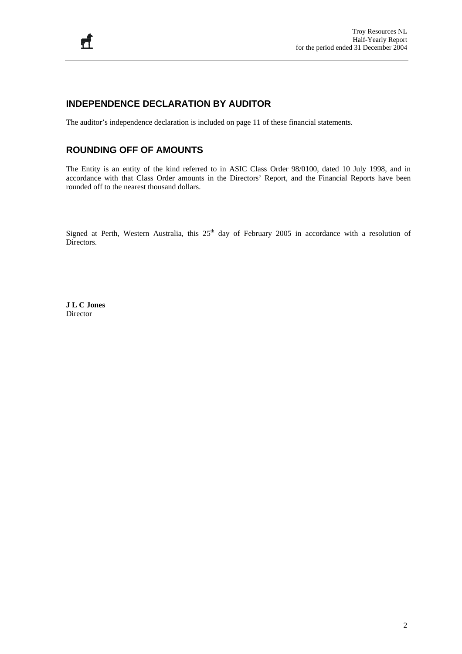### **INDEPENDENCE DECLARATION BY AUDITOR**

The auditor's independence declaration is included on page 11 of these financial statements.

### **ROUNDING OFF OF AMOUNTS**

The Entity is an entity of the kind referred to in ASIC Class Order 98/0100, dated 10 July 1998, and in accordance with that Class Order amounts in the Directors' Report, and the Financial Reports have been rounded off to the nearest thousand dollars.

Signed at Perth, Western Australia, this 25<sup>th</sup> day of February 2005 in accordance with a resolution of Directors.

**J L C Jones**  Director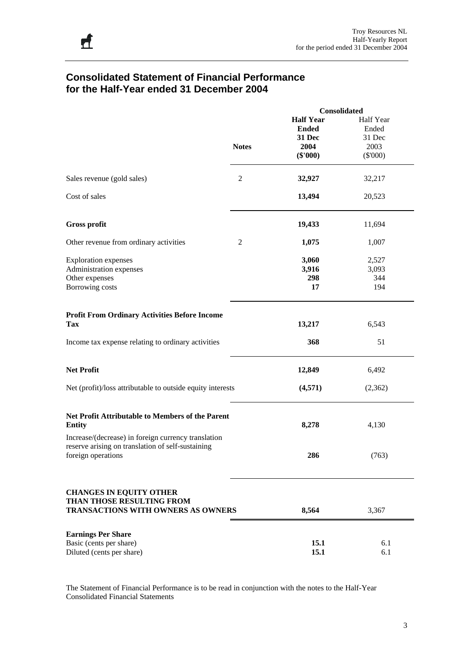## **Consolidated Statement of Financial Performance for the Half-Year ended 31 December 2004**

|                                                                          |                | Consolidated     |            |
|--------------------------------------------------------------------------|----------------|------------------|------------|
|                                                                          |                | <b>Half Year</b> | Half Year  |
|                                                                          |                | <b>Ended</b>     | Ended      |
|                                                                          |                |                  |            |
|                                                                          |                | 31 Dec           | 31 Dec     |
|                                                                          | <b>Notes</b>   | 2004             | 2003       |
|                                                                          |                | $(\$'000)$       | $(\$'000)$ |
| Sales revenue (gold sales)                                               | $\sqrt{2}$     | 32,927           | 32,217     |
| Cost of sales                                                            |                | 13,494           | 20,523     |
| <b>Gross profit</b>                                                      |                | 19,433           | 11,694     |
|                                                                          |                |                  |            |
| Other revenue from ordinary activities                                   | $\overline{c}$ | 1,075            | 1,007      |
| <b>Exploration expenses</b>                                              |                | 3,060            | 2,527      |
|                                                                          |                |                  |            |
| Administration expenses                                                  |                | 3,916            | 3,093      |
| Other expenses                                                           |                | 298              | 344        |
| Borrowing costs                                                          |                | 17               | 194        |
| <b>Profit From Ordinary Activities Before Income</b>                     |                |                  |            |
| <b>Tax</b>                                                               |                | 13,217           | 6,543      |
| Income tax expense relating to ordinary activities                       |                | 368              | 51         |
| <b>Net Profit</b>                                                        |                | 12,849           | 6,492      |
| Net (profit)/loss attributable to outside equity interests               |                | (4,571)          | (2,362)    |
| <b>Net Profit Attributable to Members of the Parent</b><br><b>Entity</b> |                | 8,278            | 4,130      |
| Increase/(decrease) in foreign currency translation                      |                |                  |            |
| reserve arising on translation of self-sustaining<br>foreign operations  |                | 286              | (763)      |
| <b>CHANGES IN EQUITY OTHER</b><br>THAN THOSE RESULTING FROM              |                |                  |            |
| <b>TRANSACTIONS WITH OWNERS AS OWNERS</b>                                |                | 8,564            | 3,367      |
| <b>Earnings Per Share</b>                                                |                |                  |            |
| Basic (cents per share)                                                  |                | 15.1             | 6.1        |
|                                                                          |                |                  |            |
| Diluted (cents per share)                                                |                | 15.1             | 6.1        |

The Statement of Financial Performance is to be read in conjunction with the notes to the Half-Year Consolidated Financial Statements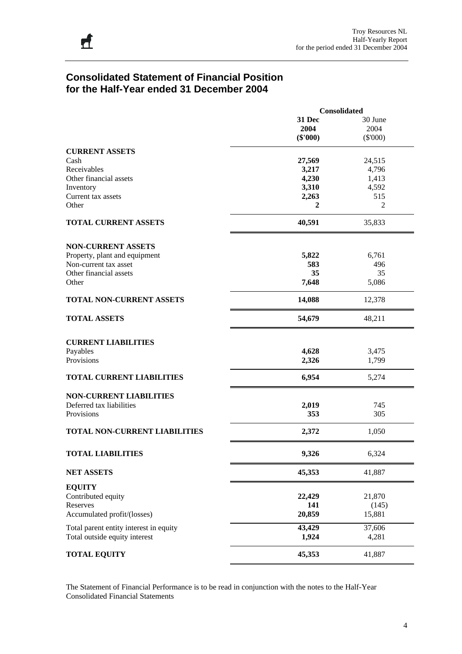### **Consolidated Statement of Financial Position for the Half-Year ended 31 December 2004**

|                                        | Consolidated |                |  |  |  |
|----------------------------------------|--------------|----------------|--|--|--|
|                                        | 31 Dec       | 30 June        |  |  |  |
|                                        | 2004         | 2004           |  |  |  |
|                                        | $(\$'000)$   | $(\$'000)$     |  |  |  |
| <b>CURRENT ASSETS</b>                  |              |                |  |  |  |
| Cash                                   | 27,569       | 24,515         |  |  |  |
| Receivables                            |              | 4,796          |  |  |  |
|                                        | 3,217        |                |  |  |  |
| Other financial assets                 | 4,230        | 1,413          |  |  |  |
| Inventory                              | 3,310        | 4,592          |  |  |  |
| Current tax assets                     | 2,263        | 515            |  |  |  |
| Other                                  | 2            | $\overline{2}$ |  |  |  |
| <b>TOTAL CURRENT ASSETS</b>            | 40,591       | 35,833         |  |  |  |
|                                        |              |                |  |  |  |
| <b>NON-CURRENT ASSETS</b>              |              |                |  |  |  |
| Property, plant and equipment          | 5,822        | 6,761          |  |  |  |
| Non-current tax asset                  | 583          | 496            |  |  |  |
| Other financial assets                 | 35           | 35             |  |  |  |
| Other                                  | 7,648        | 5,086          |  |  |  |
| <b>TOTAL NON-CURRENT ASSETS</b>        | 14,088       | 12,378         |  |  |  |
| <b>TOTAL ASSETS</b>                    | 54,679       | 48,211         |  |  |  |
|                                        |              |                |  |  |  |
| <b>CURRENT LIABILITIES</b>             |              |                |  |  |  |
| Payables                               | 4,628        | 3,475          |  |  |  |
| Provisions                             | 2,326        | 1,799          |  |  |  |
| <b>TOTAL CURRENT LIABILITIES</b>       | 6,954        | 5,274          |  |  |  |
| <b>NON-CURRENT LIABILITIES</b>         |              |                |  |  |  |
| Deferred tax liabilities               | 2,019        | 745            |  |  |  |
| Provisions                             | 353          | 305            |  |  |  |
|                                        |              |                |  |  |  |
| TOTAL NON-CURRENT LIABILITIES          | 2,372        | 1,050          |  |  |  |
| TOTAL LIABILITIES                      | 9,326        | 6,324          |  |  |  |
| <b>NET ASSETS</b>                      | 45,353       | 41,887         |  |  |  |
| <b>EQUITY</b>                          |              |                |  |  |  |
| Contributed equity                     | 22,429       | 21,870         |  |  |  |
| Reserves                               | 141          | (145)          |  |  |  |
| Accumulated profit/(losses)            | 20,859       | 15,881         |  |  |  |
| Total parent entity interest in equity | 43,429       | 37,606         |  |  |  |
| Total outside equity interest          | 1,924        | 4,281          |  |  |  |
| <b>TOTAL EQUITY</b>                    | 45,353       | 41,887         |  |  |  |

The Statement of Financial Performance is to be read in conjunction with the notes to the Half-Year Consolidated Financial Statements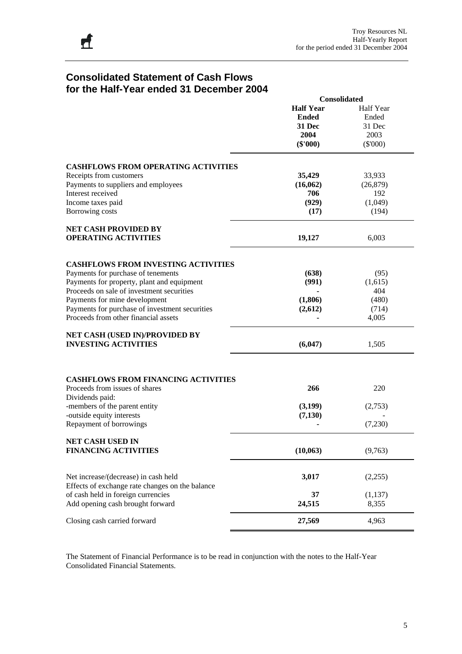## **Consolidated Statement of Cash Flows for the Half-Year ended 31 December 2004**

|                                                                                         | <b>Consolidated</b> |                  |  |  |
|-----------------------------------------------------------------------------------------|---------------------|------------------|--|--|
|                                                                                         | <b>Half Year</b>    | <b>Half Year</b> |  |  |
|                                                                                         | <b>Ended</b>        | Ended            |  |  |
|                                                                                         | 31 Dec              | 31 Dec           |  |  |
|                                                                                         | 2004                | 2003             |  |  |
|                                                                                         | $(\$'000)$          | $(\$'000)$       |  |  |
|                                                                                         |                     |                  |  |  |
| <b>CASHFLOWS FROM OPERATING ACTIVITIES</b>                                              |                     |                  |  |  |
| Receipts from customers                                                                 | 35,429              | 33,933           |  |  |
| Payments to suppliers and employees                                                     | (16,062)            | (26, 879)        |  |  |
| Interest received                                                                       |                     |                  |  |  |
|                                                                                         | 706                 | 192              |  |  |
| Income taxes paid                                                                       | (929)               | (1,049)          |  |  |
| Borrowing costs                                                                         | (17)                | (194)            |  |  |
| <b>NET CASH PROVIDED BY</b>                                                             |                     |                  |  |  |
| <b>OPERATING ACTIVITIES</b>                                                             | 19,127              | 6,003            |  |  |
|                                                                                         |                     |                  |  |  |
| <b>CASHFLOWS FROM INVESTING ACTIVITIES</b>                                              |                     |                  |  |  |
| Payments for purchase of tenements                                                      | (638)               | (95)             |  |  |
| Payments for property, plant and equipment                                              | (991)               | (1,615)          |  |  |
| Proceeds on sale of investment securities                                               |                     | 404              |  |  |
| Payments for mine development                                                           | (1,806)             | (480)            |  |  |
| Payments for purchase of investment securities                                          | (2,612)             | (714)            |  |  |
| Proceeds from other financial assets                                                    |                     | 4,005            |  |  |
| NET CASH (USED IN)/PROVIDED BY                                                          |                     |                  |  |  |
| <b>INVESTING ACTIVITIES</b>                                                             | (6,047)             | 1,505            |  |  |
|                                                                                         |                     |                  |  |  |
| <b>CASHFLOWS FROM FINANCING ACTIVITIES</b>                                              |                     |                  |  |  |
| Proceeds from issues of shares                                                          | 266                 | 220              |  |  |
| Dividends paid:                                                                         |                     |                  |  |  |
| -members of the parent entity                                                           | (3,199)             | (2,753)          |  |  |
| -outside equity interests                                                               | (7, 130)            |                  |  |  |
| Repayment of borrowings                                                                 |                     | (7,230)          |  |  |
| NET CASH USED IN                                                                        |                     |                  |  |  |
| <b>FINANCING ACTIVITIES</b>                                                             | (10,063)            | (9,763)          |  |  |
|                                                                                         |                     |                  |  |  |
| Net increase/(decrease) in cash held<br>Effects of exchange rate changes on the balance | 3,017               | (2,255)          |  |  |
| of cash held in foreign currencies                                                      | 37                  | (1, 137)         |  |  |
|                                                                                         | 24,515              |                  |  |  |
| Add opening cash brought forward                                                        |                     | 8,355            |  |  |
| Closing cash carried forward                                                            | 27,569              | 4,963            |  |  |

The Statement of Financial Performance is to be read in conjunction with the notes to the Half-Year Consolidated Financial Statements.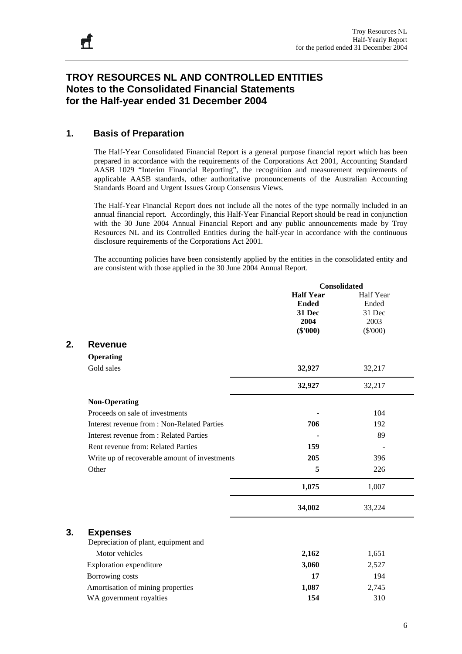## **TROY RESOURCES NL AND CONTROLLED ENTITIES Notes to the Consolidated Financial Statements for the Half-year ended 31 December 2004**

### **1. Basis of Preparation**

The Half-Year Consolidated Financial Report is a general purpose financial report which has been prepared in accordance with the requirements of the Corporations Act 2001, Accounting Standard AASB 1029 "Interim Financial Reporting", the recognition and measurement requirements of applicable AASB standards, other authoritative pronouncements of the Australian Accounting Standards Board and Urgent Issues Group Consensus Views.

The Half-Year Financial Report does not include all the notes of the type normally included in an annual financial report. Accordingly, this Half-Year Financial Report should be read in conjunction with the 30 June 2004 Annual Financial Report and any public announcements made by Troy Resources NL and its Controlled Entities during the half-year in accordance with the continuous disclosure requirements of the Corporations Act 2001.

The accounting policies have been consistently applied by the entities in the consolidated entity and are consistent with those applied in the 30 June 2004 Annual Report.

|    |                                                |                  | Consolidated |
|----|------------------------------------------------|------------------|--------------|
|    |                                                | <b>Half Year</b> | Half Year    |
|    |                                                | <b>Ended</b>     | Ended        |
|    |                                                | 31 Dec           | 31 Dec       |
|    |                                                | 2004             | 2003         |
|    |                                                | $(\$'000)$       | $(\$'000)$   |
| 2. | <b>Revenue</b>                                 |                  |              |
|    | <b>Operating</b>                               |                  |              |
|    | Gold sales                                     | 32,927           | 32,217       |
|    |                                                | 32,927           | 32,217       |
|    | <b>Non-Operating</b>                           |                  |              |
|    | Proceeds on sale of investments                |                  | 104          |
|    | Interest revenue from : Non-Related Parties    | 706              | 192          |
|    | <b>Interest revenue from : Related Parties</b> |                  | 89           |
|    | Rent revenue from: Related Parties             | 159              |              |
|    | Write up of recoverable amount of investments  | 205              | 396          |
|    | Other                                          | 5                | 226          |
|    |                                                | 1,075            | 1,007        |
|    |                                                | 34,002           | 33,224       |
| 3. | <b>Expenses</b>                                |                  |              |
|    | Depreciation of plant, equipment and           |                  |              |
|    | Motor vehicles                                 | 2,162            | 1,651        |
|    | <b>Exploration</b> expenditure                 | 3,060            | 2,527        |
|    | Borrowing costs                                | 17               | 194          |
|    | Amortisation of mining properties              | 1,087            | 2,745        |
|    | WA government royalties                        | 154              | 310          |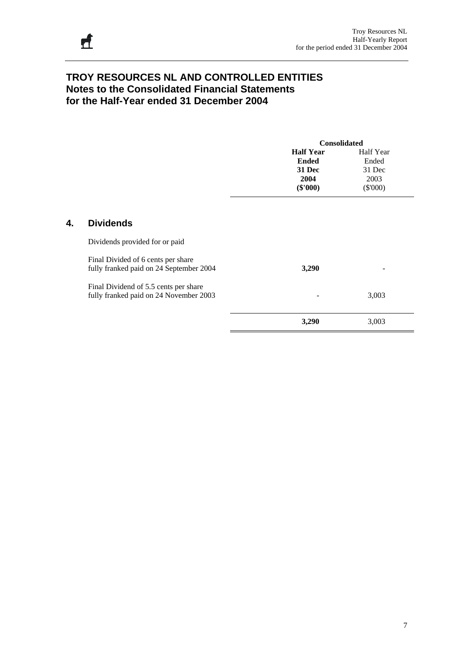**4. Dividends** 

## **TROY RESOURCES NL AND CONTROLLED ENTITIES Notes to the Consolidated Financial Statements for the Half-Year ended 31 December 2004**

|    |                                                                                  | <b>Consolidated</b>                                                     |                                                    |  |  |  |
|----|----------------------------------------------------------------------------------|-------------------------------------------------------------------------|----------------------------------------------------|--|--|--|
|    |                                                                                  | <b>Half Year</b><br><b>Ended</b><br><b>31 Dec</b><br>2004<br>$(\$'000)$ | Half Year<br>Ended<br>31 Dec<br>2003<br>$(\$'000)$ |  |  |  |
| 4. | <b>Dividends</b>                                                                 |                                                                         |                                                    |  |  |  |
|    | Dividends provided for or paid<br>Final Divided of 6 cents per share             |                                                                         |                                                    |  |  |  |
|    | fully franked paid on 24 September 2004<br>Final Dividend of 5.5 cents per share | 3,290                                                                   |                                                    |  |  |  |
|    | fully franked paid on 24 November 2003                                           | 3,290                                                                   | 3,003<br>3,003                                     |  |  |  |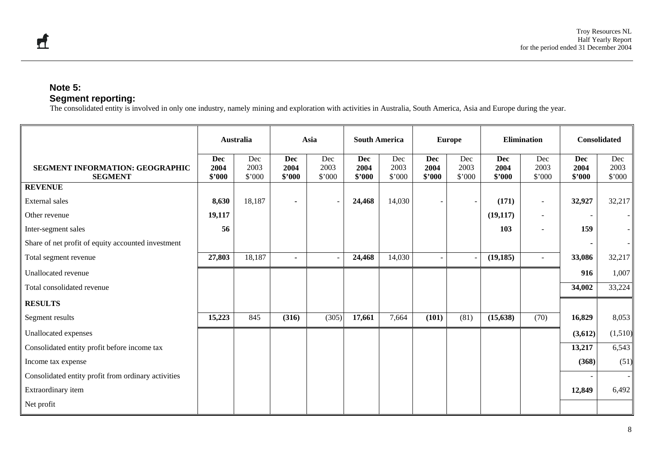#### **Note 5: Segment reporting:**

The consolidated entity is involved in only one industry, namely mining and exploration with activities in Australia, South America, Asia and Europe during the year.

|                                                     |                              | <b>Australia</b>      | Asia                         |                       | <b>South America</b>         |                       | <b>Europe</b>                |                       | <b>Elimination</b>           |                          | <b>Consolidated</b>          |                       |
|-----------------------------------------------------|------------------------------|-----------------------|------------------------------|-----------------------|------------------------------|-----------------------|------------------------------|-----------------------|------------------------------|--------------------------|------------------------------|-----------------------|
| SEGMENT INFORMATION: GEOGRAPHIC<br><b>SEGMENT</b>   | <b>Dec</b><br>2004<br>\$'000 | Dec<br>2003<br>\$'000 | <b>Dec</b><br>2004<br>\$'000 | Dec<br>2003<br>\$'000 | <b>Dec</b><br>2004<br>\$'000 | Dec<br>2003<br>\$'000 | <b>Dec</b><br>2004<br>\$'000 | Dec<br>2003<br>\$'000 | <b>Dec</b><br>2004<br>\$2000 | Dec<br>2003<br>\$'000    | <b>Dec</b><br>2004<br>\$2000 | Dec<br>2003<br>\$'000 |
| <b>REVENUE</b>                                      |                              |                       |                              |                       |                              |                       |                              |                       |                              |                          |                              |                       |
| External sales                                      | 8,630                        | 18,187                |                              | $\sim$                | 24,468                       | 14,030                |                              |                       | (171)                        | $\blacksquare$           | 32,927                       | 32,217                |
| Other revenue                                       | 19,117                       |                       |                              |                       |                              |                       |                              |                       | (19, 117)                    | $\overline{\phantom{a}}$ |                              |                       |
| Inter-segment sales                                 | 56                           |                       |                              |                       |                              |                       |                              |                       | 103                          | $\blacksquare$           | 159                          |                       |
| Share of net profit of equity accounted investment  |                              |                       |                              |                       |                              |                       |                              |                       |                              |                          |                              |                       |
| Total segment revenue                               | 27,803                       | 18,187                | $\blacksquare$               |                       | 24,468                       | 14,030                |                              |                       | (19, 185)                    | $\sim$                   | 33,086                       | 32,217                |
| Unallocated revenue                                 |                              |                       |                              |                       |                              |                       |                              |                       |                              |                          | 916                          | 1,007                 |
| Total consolidated revenue                          |                              |                       |                              |                       |                              |                       |                              |                       |                              |                          | 34,002                       | 33,224                |
| <b>RESULTS</b>                                      |                              |                       |                              |                       |                              |                       |                              |                       |                              |                          |                              |                       |
| Segment results                                     | 15,223                       | 845                   | (316)                        | (305)                 | 17,661                       | 7,664                 | (101)                        | (81)                  | (15, 638)                    | (70)                     | 16,829                       | 8,053                 |
| Unallocated expenses                                |                              |                       |                              |                       |                              |                       |                              |                       |                              |                          | (3,612)                      | (1,510)               |
| Consolidated entity profit before income tax        |                              |                       |                              |                       |                              |                       |                              |                       |                              |                          | 13,217                       | 6,543                 |
| Income tax expense                                  |                              |                       |                              |                       |                              |                       |                              |                       |                              |                          | (368)                        | (51)                  |
| Consolidated entity profit from ordinary activities |                              |                       |                              |                       |                              |                       |                              |                       |                              |                          |                              |                       |
| Extraordinary item                                  |                              |                       |                              |                       |                              |                       |                              |                       |                              |                          | 12,849                       | 6,492                 |
| Net profit                                          |                              |                       |                              |                       |                              |                       |                              |                       |                              |                          |                              |                       |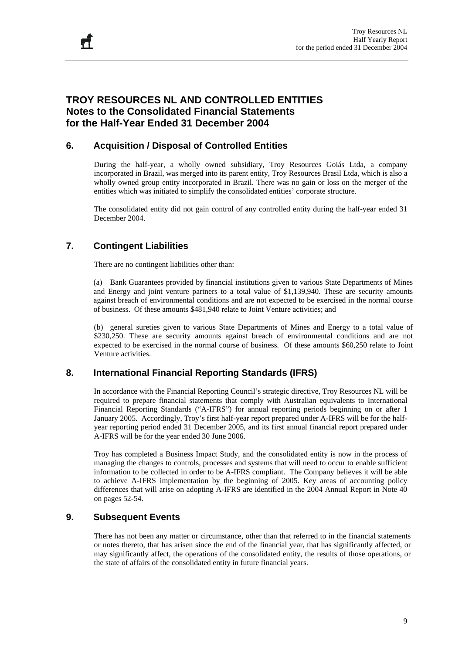## **TROY RESOURCES NL AND CONTROLLED ENTITIES Notes to the Consolidated Financial Statements for the Half-Year Ended 31 December 2004**

#### **6. Acquisition / Disposal of Controlled Entities**

During the half-year, a wholly owned subsidiary, Troy Resources Goiás Ltda, a company incorporated in Brazil, was merged into its parent entity, Troy Resources Brasil Ltda, which is also a wholly owned group entity incorporated in Brazil. There was no gain or loss on the merger of the entities which was initiated to simplify the consolidated entities' corporate structure.

The consolidated entity did not gain control of any controlled entity during the half-year ended 31 December 2004.

### **7. Contingent Liabilities**

There are no contingent liabilities other than:

 (a) Bank Guarantees provided by financial institutions given to various State Departments of Mines and Energy and joint venture partners to a total value of \$1,139,940. These are security amounts against breach of environmental conditions and are not expected to be exercised in the normal course of business. Of these amounts \$481,940 relate to Joint Venture activities; and

 (b) general sureties given to various State Departments of Mines and Energy to a total value of \$230,250. These are security amounts against breach of environmental conditions and are not expected to be exercised in the normal course of business. Of these amounts \$60,250 relate to Joint Venture activities.

#### **8. International Financial Reporting Standards (IFRS)**

In accordance with the Financial Reporting Council's strategic directive, Troy Resources NL will be required to prepare financial statements that comply with Australian equivalents to International Financial Reporting Standards ("A-IFRS") for annual reporting periods beginning on or after 1 January 2005. Accordingly, Troy's first half-year report prepared under A-IFRS will be for the halfyear reporting period ended 31 December 2005, and its first annual financial report prepared under A-IFRS will be for the year ended 30 June 2006.

Troy has completed a Business Impact Study, and the consolidated entity is now in the process of managing the changes to controls, processes and systems that will need to occur to enable sufficient information to be collected in order to be A-IFRS compliant. The Company believes it will be able to achieve A-IFRS implementation by the beginning of 2005. Key areas of accounting policy differences that will arise on adopting A-IFRS are identified in the 2004 Annual Report in Note 40 on pages 52-54.

#### **9. Subsequent Events**

There has not been any matter or circumstance, other than that referred to in the financial statements or notes thereto, that has arisen since the end of the financial year, that has significantly affected, or may significantly affect, the operations of the consolidated entity, the results of those operations, or the state of affairs of the consolidated entity in future financial years.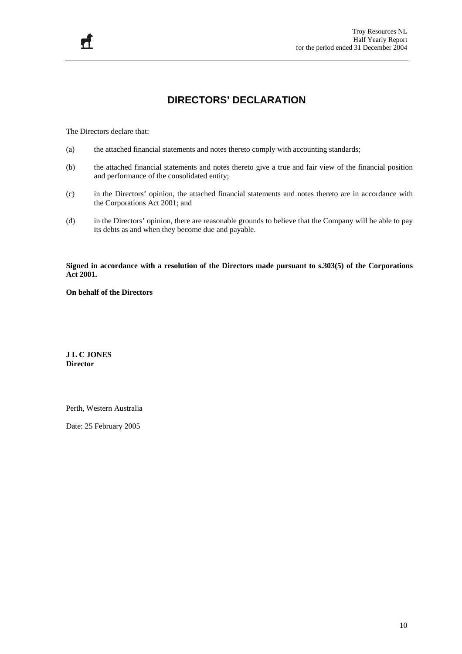## **DIRECTORS' DECLARATION**

The Directors declare that:

 $\mathbf{r}$ 

- (a) the attached financial statements and notes thereto comply with accounting standards;
- (b) the attached financial statements and notes thereto give a true and fair view of the financial position and performance of the consolidated entity;
- (c) in the Directors' opinion, the attached financial statements and notes thereto are in accordance with the Corporations Act 2001; and
- (d) in the Directors' opinion, there are reasonable grounds to believe that the Company will be able to pay its debts as and when they become due and payable.

**Signed in accordance with a resolution of the Directors made pursuant to s.303(5) of the Corporations Act 2001.** 

**On behalf of the Directors** 

**J L C JONES Director** 

Perth, Western Australia

Date: 25 February 2005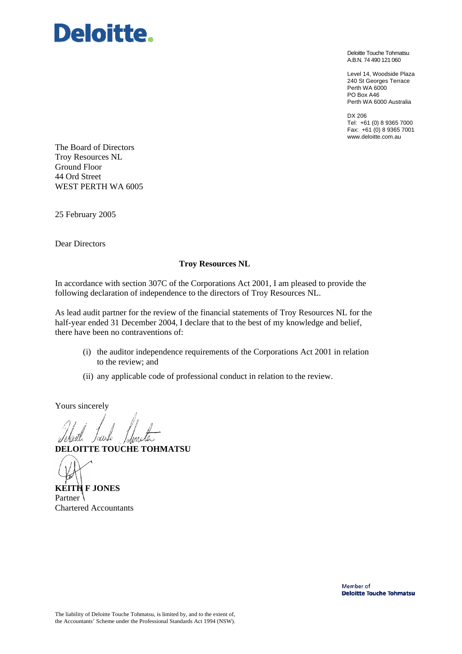

Deloitte Touche Tohmatsu A.B.N. 74 490 121 060

Level 14, Woodside Plaza 240 St Georges Terrace Perth WA 6000 PO Box A46 Perth WA 6000 Australia

DX 206 Tel: +61 (0) 8 9365 7000 Fax: +61 (0) 8 9365 7001 www.deloitte.com.au

The Board of Directors Troy Resources NL Ground Floor 44 Ord Street WEST PERTH WA 6005

25 February 2005

Dear Directors

#### **Troy Resources NL**

In accordance with section 307C of the Corporations Act 2001, I am pleased to provide the following declaration of independence to the directors of Troy Resources NL.

As lead audit partner for the review of the financial statements of Troy Resources NL for the half-year ended 31 December 2004, I declare that to the best of my knowledge and belief, there have been no contraventions of:

- (i) the auditor independence requirements of the Corporations Act 2001 in relation to the review; and
- (ii) any applicable code of professional conduct in relation to the review.

Yours sincerely

Toisile

**DELOITTE TOUCHE TOHMATSU** 

**KEITH F JONES**  Partner Chartered Accountants

Member of **Deloitte Touche Tohmatsu**